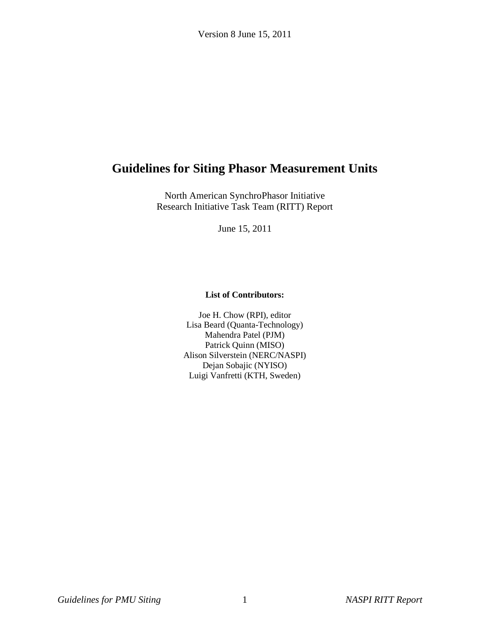Version 8 June 15, 2011

# **Guidelines for Siting Phasor Measurement Units**

North American SynchroPhasor Initiative Research Initiative Task Team (RITT) Report

June 15, 2011

## **List of Contributors:**

Joe H. Chow (RPI), editor Lisa Beard (Quanta-Technology) Mahendra Patel (PJM) Patrick Quinn (MISO) Alison Silverstein (NERC/NASPI) Dejan Sobajic (NYISO) Luigi Vanfretti (KTH, Sweden)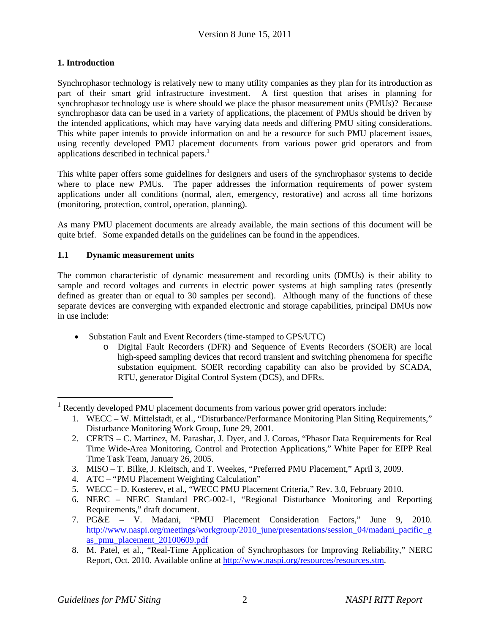# **1. Introduction**

Synchrophasor technology is relatively new to many utility companies as they plan for its introduction as part of their smart grid infrastructure investment. A first question that arises in planning for synchrophasor technology use is where should we place the phasor measurement units (PMUs)? Because synchrophasor data can be used in a variety of applications, the placement of PMUs should be driven by the intended applications, which may have varying data needs and differing PMU siting considerations. This white paper intends to provide information on and be a resource for such PMU placement issues, using recently developed PMU placement documents from various power grid operators and from applications described in technical papers.<sup>[1](#page-1-0)</sup>

This white paper offers some guidelines for designers and users of the synchrophasor systems to decide where to place new PMUs. The paper addresses the information requirements of power system applications under all conditions (normal, alert, emergency, restorative) and across all time horizons (monitoring, protection, control, operation, planning).

As many PMU placement documents are already available, the main sections of this document will be quite brief. Some expanded details on the guidelines can be found in the appendices.

# **1.1 Dynamic measurement units**

The common characteristic of dynamic measurement and recording units (DMUs) is their ability to sample and record voltages and currents in electric power systems at high sampling rates (presently defined as greater than or equal to 30 samples per second). Although many of the functions of these separate devices are converging with expanded electronic and storage capabilities, principal DMUs now in use include:

- Substation Fault and Event Recorders (time-stamped to GPS/UTC)
	- o Digital Fault Recorders (DFR) and Sequence of Events Recorders (SOER) are local high-speed sampling devices that record transient and switching phenomena for specific substation equipment. SOER recording capability can also be provided by SCADA, RTU, generator Digital Control System (DCS), and DFRs.

- 3. MISO T. Bilke, J. Kleitsch, and T. Weekes, "Preferred PMU Placement," April 3, 2009.
- 4. ATC "PMU Placement Weighting Calculation"
- 5. WECC D. Kosterev, et al., "WECC PMU Placement Criteria," Rev. 3.0, February 2010.
- 6. NERC NERC Standard PRC-002-1, "Regional Disturbance Monitoring and Reporting Requirements," draft document.
- 7. PG&E V. Madani, "PMU Placement Consideration Factors," June 9, 2010. [http://www.naspi.org/meetings/workgroup/2010\\_june/presentations/session\\_04/madani\\_pacific\\_g](http://www.naspi.org/meetings/workgroup/2010_june/presentations/session_04/madani_pacific_gas_pmu_placement_20100609.pdf) as pmu placement 20100609.pdf
- 8. M. Patel, et al., "Real-Time Application of Synchrophasors for Improving Reliability," NERC Report, Oct. 2010. Available online at [http://www.naspi.org/resources/resources.stm.](http://www.naspi.org/resources/resources.stm)

<span id="page-1-0"></span>Recently developed PMU placement documents from various power grid operators include:

<sup>1.</sup> WECC – W. Mittelstadt, et al., "Disturbance/Performance Monitoring Plan Siting Requirements," Disturbance Monitoring Work Group, June 29, 2001.

<sup>2.</sup> CERTS – C. Martinez, M. Parashar, J. Dyer, and J. Coroas, "Phasor Data Requirements for Real Time Wide-Area Monitoring, Control and Protection Applications," White Paper for EIPP Real Time Task Team, January 26, 2005.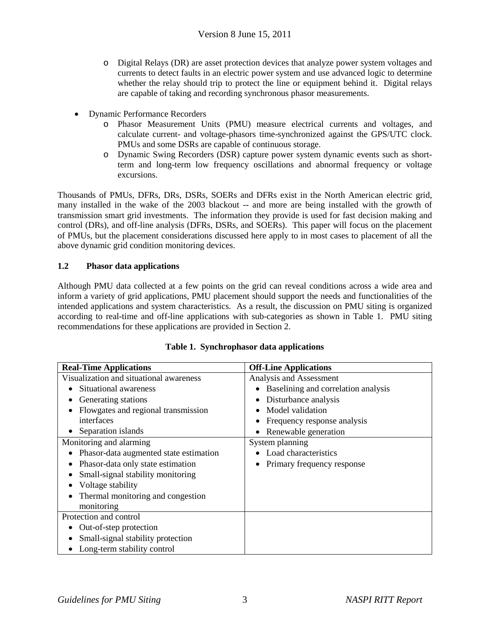- o Digital Relays (DR) are asset protection devices that analyze power system voltages and currents to detect faults in an electric power system and use advanced logic to determine whether the relay should trip to protect the line or equipment behind it. Digital relays are capable of taking and recording synchronous phasor measurements.
- Dynamic Performance Recorders
	- o Phasor Measurement Units (PMU) measure electrical currents and voltages, and calculate current- and voltage-phasors time-synchronized against the GPS/UTC clock. PMUs and some DSRs are capable of continuous storage.
	- o Dynamic Swing Recorders (DSR) capture power system dynamic events such as shortterm and long-term low frequency oscillations and abnormal frequency or voltage excursions.

Thousands of PMUs, DFRs, DRs, DSRs, SOERs and DFRs exist in the North American electric grid, many installed in the wake of the 2003 blackout -- and more are being installed with the growth of transmission smart grid investments. The information they provide is used for fast decision making and control (DRs), and off-line analysis (DFRs, DSRs, and SOERs). This paper will focus on the placement of PMUs, but the placement considerations discussed here apply to in most cases to placement of all the above dynamic grid condition monitoring devices.

# **1.2 Phasor data applications**

Although PMU data collected at a few points on the grid can reveal conditions across a wide area and inform a variety of grid applications, PMU placement should support the needs and functionalities of the intended applications and system characteristics. As a result, the discussion on PMU siting is organized according to real-time and off-line applications with sub-categories as shown in Table 1. PMU siting recommendations for these applications are provided in Section 2.

| <b>Real-Time Applications</b>           | <b>Off-Line Applications</b>        |
|-----------------------------------------|-------------------------------------|
| Visualization and situational awareness | Analysis and Assessment             |
| Situational awareness                   | Baselining and correlation analysis |
| Generating stations                     | Disturbance analysis                |
| Flowgates and regional transmission     | Model validation                    |
| interfaces                              | Frequency response analysis         |
| • Separation islands                    | Renewable generation                |
| Monitoring and alarming                 | System planning                     |
| Phasor-data augmented state estimation  | Load characteristics                |
| Phasor-data only state estimation       | Primary frequency response          |
| Small-signal stability monitoring       |                                     |
| Voltage stability                       |                                     |
| Thermal monitoring and congestion       |                                     |
| monitoring                              |                                     |
| Protection and control                  |                                     |
| Out-of-step protection                  |                                     |
| Small-signal stability protection       |                                     |
| Long-term stability control             |                                     |

|  | Table 1. Synchrophasor data applications |
|--|------------------------------------------|
|  |                                          |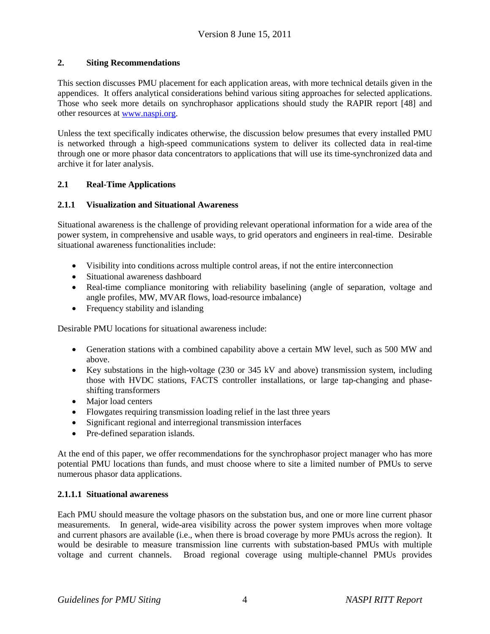# **2. Siting Recommendations**

This section discusses PMU placement for each application areas, with more technical details given in the appendices. It offers analytical considerations behind various siting approaches for selected applications. Those who seek more details on synchrophasor applications should study the RAPIR report [48] and other resources at [www.naspi.org.](http://www.naspi.org/)

Unless the text specifically indicates otherwise, the discussion below presumes that every installed PMU is networked through a high-speed communications system to deliver its collected data in real-time through one or more phasor data concentrators to applications that will use its time-synchronized data and archive it for later analysis.

## **2.1 Real-Time Applications**

# **2.1.1 Visualization and Situational Awareness**

Situational awareness is the challenge of providing relevant operational information for a wide area of the power system, in comprehensive and usable ways, to grid operators and engineers in real-time. Desirable situational awareness functionalities include:

- Visibility into conditions across multiple control areas, if not the entire interconnection
- Situational awareness dashboard
- Real-time compliance monitoring with reliability baselining (angle of separation, voltage and angle profiles, MW, MVAR flows, load-resource imbalance)
- Frequency stability and islanding

Desirable PMU locations for situational awareness include:

- Generation stations with a combined capability above a certain MW level, such as 500 MW and above.
- Key substations in the high-voltage (230 or 345 kV and above) transmission system, including those with HVDC stations, FACTS controller installations, or large tap-changing and phaseshifting transformers
- Major load centers
- Flowgates requiring transmission loading relief in the last three years
- Significant regional and interregional transmission interfaces
- Pre-defined separation islands.

At the end of this paper, we offer recommendations for the synchrophasor project manager who has more potential PMU locations than funds, and must choose where to site a limited number of PMUs to serve numerous phasor data applications.

## **2.1.1.1 Situational awareness**

Each PMU should measure the voltage phasors on the substation bus, and one or more line current phasor measurements. In general, wide-area visibility across the power system improves when more voltage and current phasors are available (i.e., when there is broad coverage by more PMUs across the region). It would be desirable to measure transmission line currents with substation-based PMUs with multiple voltage and current channels. Broad regional coverage using multiple-channel PMUs provides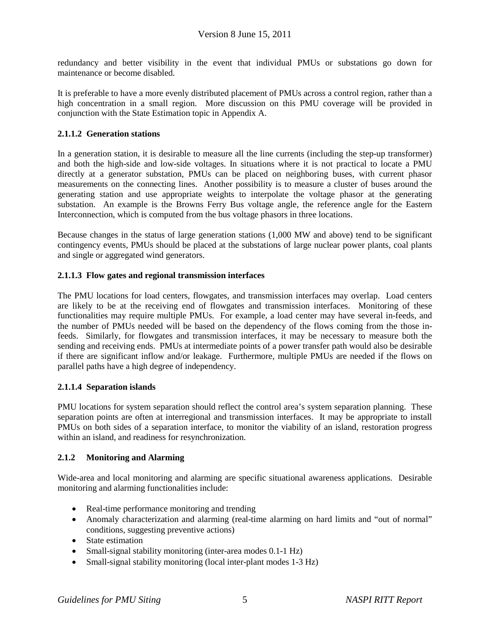redundancy and better visibility in the event that individual PMUs or substations go down for maintenance or become disabled.

It is preferable to have a more evenly distributed placement of PMUs across a control region, rather than a high concentration in a small region. More discussion on this PMU coverage will be provided in conjunction with the State Estimation topic in Appendix A.

# **2.1.1.2 Generation stations**

In a generation station, it is desirable to measure all the line currents (including the step-up transformer) and both the high-side and low-side voltages. In situations where it is not practical to locate a PMU directly at a generator substation, PMUs can be placed on neighboring buses, with current phasor measurements on the connecting lines. Another possibility is to measure a cluster of buses around the generating station and use appropriate weights to interpolate the voltage phasor at the generating substation. An example is the Browns Ferry Bus voltage angle, the reference angle for the Eastern Interconnection, which is computed from the bus voltage phasors in three locations.

Because changes in the status of large generation stations (1,000 MW and above) tend to be significant contingency events, PMUs should be placed at the substations of large nuclear power plants, coal plants and single or aggregated wind generators.

# **2.1.1.3 Flow gates and regional transmission interfaces**

The PMU locations for load centers, flowgates, and transmission interfaces may overlap. Load centers are likely to be at the receiving end of flowgates and transmission interfaces. Monitoring of these functionalities may require multiple PMUs. For example, a load center may have several in-feeds, and the number of PMUs needed will be based on the dependency of the flows coming from the those infeeds. Similarly, for flowgates and transmission interfaces, it may be necessary to measure both the sending and receiving ends. PMUs at intermediate points of a power transfer path would also be desirable if there are significant inflow and/or leakage. Furthermore, multiple PMUs are needed if the flows on parallel paths have a high degree of independency.

## **2.1.1.4 Separation islands**

PMU locations for system separation should reflect the control area's system separation planning. These separation points are often at interregional and transmission interfaces. It may be appropriate to install PMUs on both sides of a separation interface, to monitor the viability of an island, restoration progress within an island, and readiness for resynchronization.

## **2.1.2 Monitoring and Alarming**

Wide-area and local monitoring and alarming are specific situational awareness applications. Desirable monitoring and alarming functionalities include:

- Real-time performance monitoring and trending
- Anomaly characterization and alarming (real-time alarming on hard limits and "out of normal" conditions, suggesting preventive actions)
- State estimation
- Small-signal stability monitoring (inter-area modes 0.1-1 Hz)
- Small-signal stability monitoring (local inter-plant modes 1-3 Hz)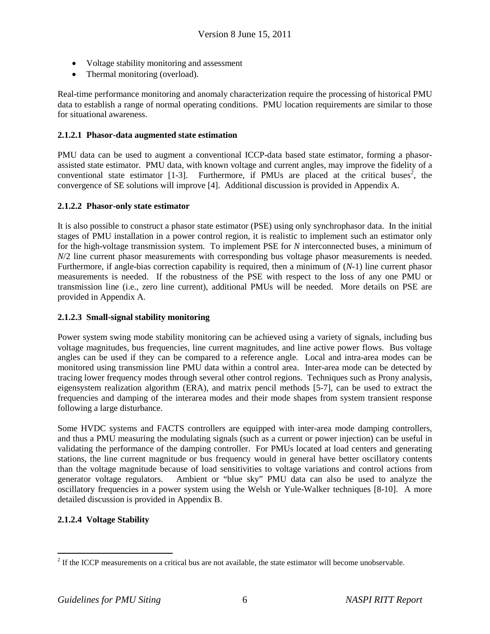- Voltage stability monitoring and assessment
- Thermal monitoring (overload).

Real-time performance monitoring and anomaly characterization require the processing of historical PMU data to establish a range of normal operating conditions. PMU location requirements are similar to those for situational awareness.

#### **2.1.2.1 Phasor-data augmented state estimation**

PMU data can be used to augment a conventional ICCP-data based state estimator, forming a phasorassisted state estimator. PMU data, with known voltage and current angles, may improve the fidelity of a conventional state estimator [1-3]. Furthermore, if PMUs are placed at the critical buses<sup>[2](#page-5-0)</sup>, the convergence of SE solutions will improve [4]. Additional discussion is provided in Appendix A.

#### **2.1.2.2 Phasor-only state estimator**

It is also possible to construct a phasor state estimator (PSE) using only synchrophasor data. In the initial stages of PMU installation in a power control region, it is realistic to implement such an estimator only for the high-voltage transmission system. To implement PSE for *N* interconnected buses, a minimum of *N*/2 line current phasor measurements with corresponding bus voltage phasor measurements is needed. Furthermore, if angle-bias correction capability is required, then a minimum of (*N-*1) line current phasor measurements is needed. If the robustness of the PSE with respect to the loss of any one PMU or transmission line (i.e., zero line current), additional PMUs will be needed. More details on PSE are provided in Appendix A.

#### **2.1.2.3 Small-signal stability monitoring**

Power system swing mode stability monitoring can be achieved using a variety of signals, including bus voltage magnitudes, bus frequencies, line current magnitudes, and line active power flows. Bus voltage angles can be used if they can be compared to a reference angle. Local and intra-area modes can be monitored using transmission line PMU data within a control area. Inter-area mode can be detected by tracing lower frequency modes through several other control regions. Techniques such as Prony analysis, eigensystem realization algorithm (ERA), and matrix pencil methods [5-7], can be used to extract the frequencies and damping of the interarea modes and their mode shapes from system transient response following a large disturbance.

Some HVDC systems and FACTS controllers are equipped with inter-area mode damping controllers, and thus a PMU measuring the modulating signals (such as a current or power injection) can be useful in validating the performance of the damping controller. For PMUs located at load centers and generating stations, the line current magnitude or bus frequency would in general have better oscillatory contents than the voltage magnitude because of load sensitivities to voltage variations and control actions from generator voltage regulators. Ambient or "blue sky" PMU data can also be used to analyze the oscillatory frequencies in a power system using the Welsh or Yule-Walker techniques [8-10]. A more detailed discussion is provided in Appendix B.

## **2.1.2.4 Voltage Stability**

<span id="page-5-0"></span><sup>&</sup>lt;sup>2</sup> If the ICCP measurements on a critical bus are not available, the state estimator will become unobservable.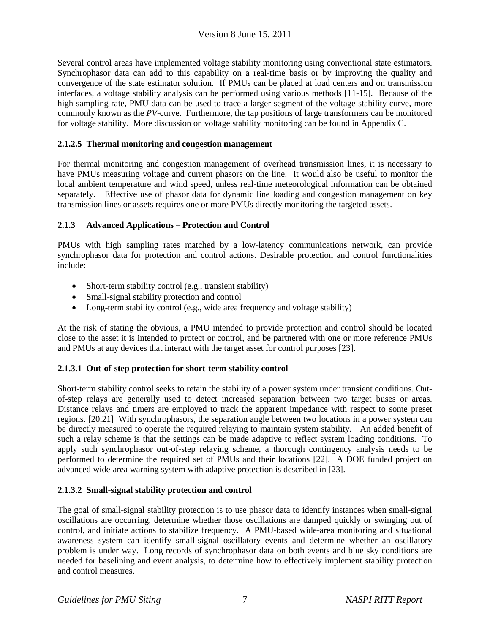Several control areas have implemented voltage stability monitoring using conventional state estimators. Synchrophasor data can add to this capability on a real-time basis or by improving the quality and convergence of the state estimator solution. If PMUs can be placed at load centers and on transmission interfaces, a voltage stability analysis can be performed using various methods [11-15]. Because of the high-sampling rate, PMU data can be used to trace a larger segment of the voltage stability curve, more commonly known as the *PV*-curve. Furthermore, the tap positions of large transformers can be monitored for voltage stability. More discussion on voltage stability monitoring can be found in Appendix C.

# **2.1.2.5 Thermal monitoring and congestion management**

For thermal monitoring and congestion management of overhead transmission lines, it is necessary to have PMUs measuring voltage and current phasors on the line. It would also be useful to monitor the local ambient temperature and wind speed, unless real-time meteorological information can be obtained separately. Effective use of phasor data for dynamic line loading and congestion management on key transmission lines or assets requires one or more PMUs directly monitoring the targeted assets.

# **2.1.3 Advanced Applications – Protection and Control**

PMUs with high sampling rates matched by a low-latency communications network, can provide synchrophasor data for protection and control actions. Desirable protection and control functionalities include:

- Short-term stability control (e.g., transient stability)
- Small-signal stability protection and control
- Long-term stability control (e.g., wide area frequency and voltage stability)

At the risk of stating the obvious, a PMU intended to provide protection and control should be located close to the asset it is intended to protect or control, and be partnered with one or more reference PMUs and PMUs at any devices that interact with the target asset for control purposes [23].

# **2.1.3.1 Out-of-step protection for short-term stability control**

Short-term stability control seeks to retain the stability of a power system under transient conditions. Outof-step relays are generally used to detect increased separation between two target buses or areas. Distance relays and timers are employed to track the apparent impedance with respect to some preset regions. [20,21] With synchrophasors, the separation angle between two locations in a power system can be directly measured to operate the required relaying to maintain system stability. An added benefit of such a relay scheme is that the settings can be made adaptive to reflect system loading conditions. To apply such synchrophasor out-of-step relaying scheme, a thorough contingency analysis needs to be performed to determine the required set of PMUs and their locations [22]. A DOE funded project on advanced wide-area warning system with adaptive protection is described in [23].

# **2.1.3.2 Small-signal stability protection and control**

The goal of small-signal stability protection is to use phasor data to identify instances when small-signal oscillations are occurring, determine whether those oscillations are damped quickly or swinging out of control, and initiate actions to stabilize frequency. A PMU-based wide-area monitoring and situational awareness system can identify small-signal oscillatory events and determine whether an oscillatory problem is under way. Long records of synchrophasor data on both events and blue sky conditions are needed for baselining and event analysis, to determine how to effectively implement stability protection and control measures.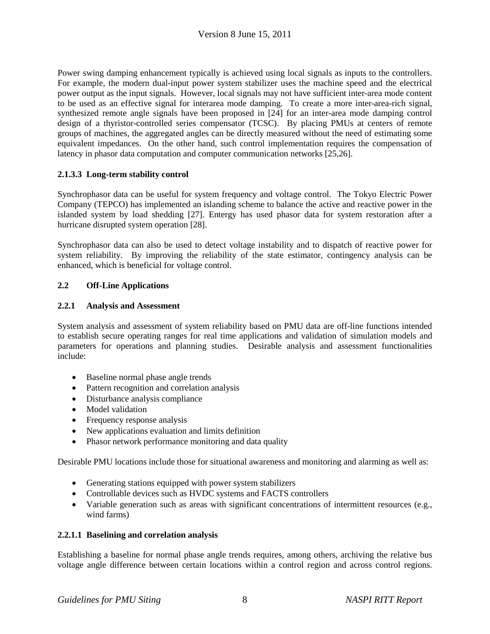Power swing damping enhancement typically is achieved using local signals as inputs to the controllers. For example, the modern dual-input power system stabilizer uses the machine speed and the electrical power output as the input signals. However, local signals may not have sufficient inter-area mode content to be used as an effective signal for interarea mode damping. To create a more inter-area-rich signal, synthesized remote angle signals have been proposed in [24] for an inter-area mode damping control design of a thyristor-controlled series compensator (TCSC). By placing PMUs at centers of remote groups of machines, the aggregated angles can be directly measured without the need of estimating some equivalent impedances. On the other hand, such control implementation requires the compensation of latency in phasor data computation and computer communication networks [25,26].

# **2.1.3.3 Long-term stability control**

Synchrophasor data can be useful for system frequency and voltage control. The Tokyo Electric Power Company (TEPCO) has implemented an islanding scheme to balance the active and reactive power in the islanded system by load shedding [27]. Entergy has used phasor data for system restoration after a hurricane disrupted system operation [28].

Synchrophasor data can also be used to detect voltage instability and to dispatch of reactive power for system reliability. By improving the reliability of the state estimator, contingency analysis can be enhanced, which is beneficial for voltage control.

## **2.2 Off-Line Applications**

## **2.2.1 Analysis and Assessment**

System analysis and assessment of system reliability based on PMU data are off-line functions intended to establish secure operating ranges for real time applications and validation of simulation models and parameters for operations and planning studies. Desirable analysis and assessment functionalities include:

- Baseline normal phase angle trends
- Pattern recognition and correlation analysis
- Disturbance analysis compliance
- Model validation
- Frequency response analysis
- New applications evaluation and limits definition
- Phasor network performance monitoring and data quality

Desirable PMU locations include those for situational awareness and monitoring and alarming as well as:

- Generating stations equipped with power system stabilizers
- Controllable devices such as HVDC systems and FACTS controllers
- Variable generation such as areas with significant concentrations of intermittent resources (e.g., wind farms)

## **2.2.1.1 Baselining and correlation analysis**

Establishing a baseline for normal phase angle trends requires, among others, archiving the relative bus voltage angle difference between certain locations within a control region and across control regions.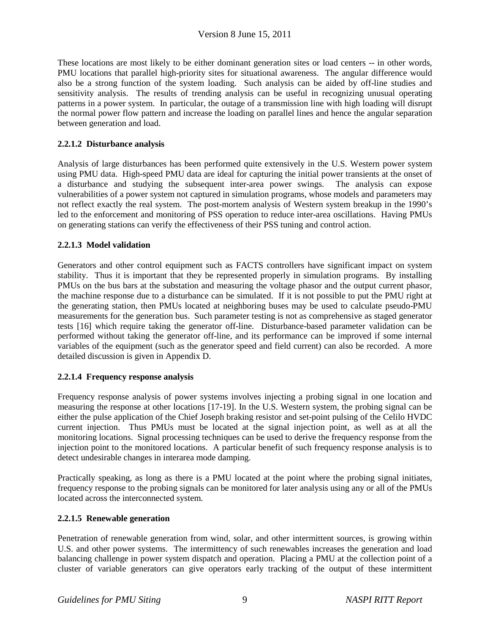These locations are most likely to be either dominant generation sites or load centers -- in other words, PMU locations that parallel high-priority sites for situational awareness. The angular difference would also be a strong function of the system loading. Such analysis can be aided by off-line studies and sensitivity analysis. The results of trending analysis can be useful in recognizing unusual operating patterns in a power system. In particular, the outage of a transmission line with high loading will disrupt the normal power flow pattern and increase the loading on parallel lines and hence the angular separation between generation and load.

# **2.2.1.2 Disturbance analysis**

Analysis of large disturbances has been performed quite extensively in the U.S. Western power system using PMU data. High-speed PMU data are ideal for capturing the initial power transients at the onset of a disturbance and studying the subsequent inter-area power swings. The analysis can expose vulnerabilities of a power system not captured in simulation programs, whose models and parameters may not reflect exactly the real system. The post-mortem analysis of Western system breakup in the 1990's led to the enforcement and monitoring of PSS operation to reduce inter-area oscillations. Having PMUs on generating stations can verify the effectiveness of their PSS tuning and control action.

# **2.2.1.3 Model validation**

Generators and other control equipment such as FACTS controllers have significant impact on system stability. Thus it is important that they be represented properly in simulation programs. By installing PMUs on the bus bars at the substation and measuring the voltage phasor and the output current phasor, the machine response due to a disturbance can be simulated. If it is not possible to put the PMU right at the generating station, then PMUs located at neighboring buses may be used to calculate pseudo-PMU measurements for the generation bus. Such parameter testing is not as comprehensive as staged generator tests [16] which require taking the generator off-line. Disturbance-based parameter validation can be performed without taking the generator off-line, and its performance can be improved if some internal variables of the equipment (such as the generator speed and field current) can also be recorded. A more detailed discussion is given in Appendix D.

## **2.2.1.4 Frequency response analysis**

Frequency response analysis of power systems involves injecting a probing signal in one location and measuring the response at other locations [17-19]. In the U.S. Western system, the probing signal can be either the pulse application of the Chief Joseph braking resistor and set-point pulsing of the Celilo HVDC current injection. Thus PMUs must be located at the signal injection point, as well as at all the monitoring locations. Signal processing techniques can be used to derive the frequency response from the injection point to the monitored locations. A particular benefit of such frequency response analysis is to detect undesirable changes in interarea mode damping.

Practically speaking, as long as there is a PMU located at the point where the probing signal initiates, frequency response to the probing signals can be monitored for later analysis using any or all of the PMUs located across the interconnected system.

## **2.2.1.5 Renewable generation**

Penetration of renewable generation from wind, solar, and other intermittent sources, is growing within U.S. and other power systems. The intermittency of such renewables increases the generation and load balancing challenge in power system dispatch and operation. Placing a PMU at the collection point of a cluster of variable generators can give operators early tracking of the output of these intermittent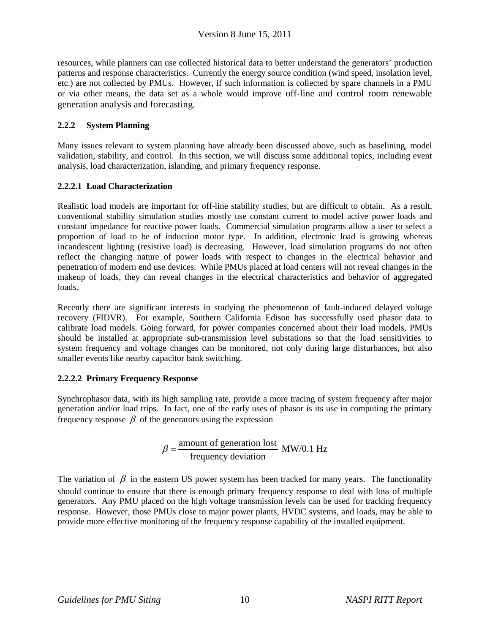resources, while planners can use collected historical data to better understand the generators' production patterns and response characteristics. Currently the energy source condition (wind speed, insolation level, etc.) are not collected by PMUs. However, if such information is collected by spare channels in a PMU or via other means, the data set as a whole would improve off-line and control room renewable generation analysis and forecasting.

# **2.2.2 System Planning**

Many issues relevant to system planning have already been discussed above, such as baselining, model validation, stability, and control. In this section, we will discuss some additional topics, including event analysis, load characterization, islanding, and primary frequency response.

# **2.2.2.1 Load Characterization**

Realistic load models are important for off-line stability studies, but are difficult to obtain. As a result, conventional stability simulation studies mostly use constant current to model active power loads and constant impedance for reactive power loads. Commercial simulation programs allow a user to select a proportion of load to be of induction motor type. In addition, electronic load is growing whereas incandescent lighting (resistive load) is decreasing. However, load simulation programs do not often reflect the changing nature of power loads with respect to changes in the electrical behavior and penetration of modern end use devices. While PMUs placed at load centers will not reveal changes in the makeup of loads, they can reveal changes in the electrical characteristics and behavior of aggregated loads.

Recently there are significant interests in studying the phenomenon of fault-induced delayed voltage recovery (FIDVR). For example, Southern California Edison has successfully used phasor data to calibrate load models. Going forward, for power companies concerned about their load models, PMUs should be installed at appropriate sub-transmission level substations so that the load sensitivities to system frequency and voltage changes can be monitored, not only during large disturbances, but also smaller events like nearby capacitor bank switching.

# **2.2.2.2 Primary Frequency Response**

Synchrophasor data, with its high sampling rate, provide a more tracing of system frequency after major generation and/or load trips. In fact, one of the early uses of phasor is its use in computing the primary frequency response  $\beta$  of the generators using the expression

$$
\beta = \frac{\text{amount of generation lost}}{\text{frequency deviation}} \text{ MW/0.1 Hz}
$$

The variation of  $\beta$  in the eastern US power system has been tracked for many years. The functionality should continue to ensure that there is enough primary frequency response to deal with loss of multiple generators. Any PMU placed on the high voltage transmission levels can be used for tracking frequency response. However, those PMUs close to major power plants, HVDC systems, and loads, may be able to provide more effective monitoring of the frequency response capability of the installed equipment.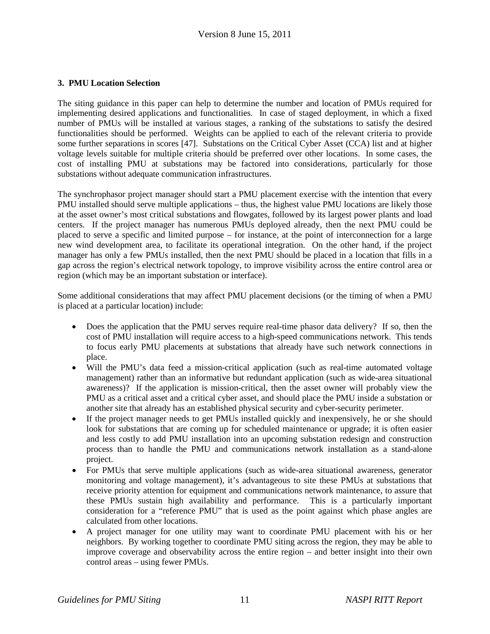#### **3. PMU Location Selection**

The siting guidance in this paper can help to determine the number and location of PMUs required for implementing desired applications and functionalities. In case of staged deployment, in which a fixed number of PMUs will be installed at various stages, a ranking of the substations to satisfy the desired functionalities should be performed. Weights can be applied to each of the relevant criteria to provide some further separations in scores [47]. Substations on the Critical Cyber Asset (CCA) list and at higher voltage levels suitable for multiple criteria should be preferred over other locations. In some cases, the cost of installing PMU at substations may be factored into considerations, particularly for those substations without adequate communication infrastructures.

The synchrophasor project manager should start a PMU placement exercise with the intention that every PMU installed should serve multiple applications – thus, the highest value PMU locations are likely those at the asset owner's most critical substations and flowgates, followed by its largest power plants and load centers. If the project manager has numerous PMUs deployed already, then the next PMU could be placed to serve a specific and limited purpose – for instance, at the point of interconnection for a large new wind development area, to facilitate its operational integration. On the other hand, if the project manager has only a few PMUs installed, then the next PMU should be placed in a location that fills in a gap across the region's electrical network topology, to improve visibility across the entire control area or region (which may be an important substation or interface).

Some additional considerations that may affect PMU placement decisions (or the timing of when a PMU is placed at a particular location) include:

- Does the application that the PMU serves require real-time phasor data delivery? If so, then the cost of PMU installation will require access to a high-speed communications network. This tends to focus early PMU placements at substations that already have such network connections in place.
- Will the PMU's data feed a mission-critical application (such as real-time automated voltage management) rather than an informative but redundant application (such as wide-area situational awareness)? If the application is mission-critical, then the asset owner will probably view the PMU as a critical asset and a critical cyber asset, and should place the PMU inside a substation or another site that already has an established physical security and cyber-security perimeter.
- If the project manager needs to get PMUs installed quickly and inexpensively, he or she should look for substations that are coming up for scheduled maintenance or upgrade; it is often easier and less costly to add PMU installation into an upcoming substation redesign and construction process than to handle the PMU and communications network installation as a stand-alone project.
- For PMUs that serve multiple applications (such as wide-area situational awareness, generator monitoring and voltage management), it's advantageous to site these PMUs at substations that receive priority attention for equipment and communications network maintenance, to assure that these PMUs sustain high availability and performance. This is a particularly important consideration for a "reference PMU" that is used as the point against which phase angles are calculated from other locations.
- A project manager for one utility may want to coordinate PMU placement with his or her neighbors. By working together to coordinate PMU siting across the region, they may be able to improve coverage and observability across the entire region – and better insight into their own control areas – using fewer PMUs.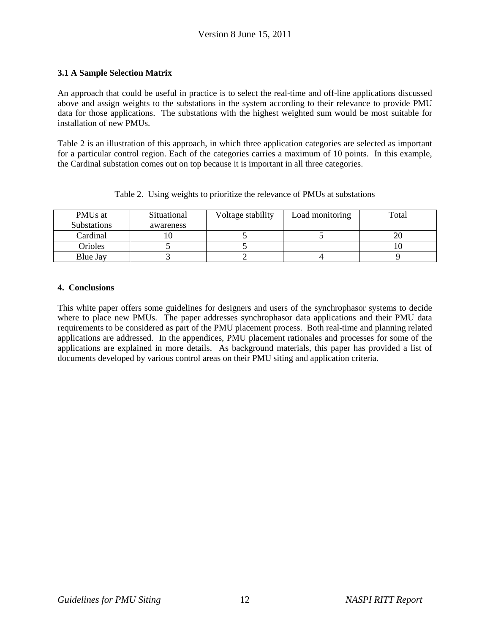# **3.1 A Sample Selection Matrix**

An approach that could be useful in practice is to select the real-time and off-line applications discussed above and assign weights to the substations in the system according to their relevance to provide PMU data for those applications. The substations with the highest weighted sum would be most suitable for installation of new PMUs.

Table 2 is an illustration of this approach, in which three application categories are selected as important for a particular control region. Each of the categories carries a maximum of 10 points. In this example, the Cardinal substation comes out on top because it is important in all three categories.

| PMU <sub>s</sub> at | Situational | Voltage stability | Load monitoring | Total |
|---------------------|-------------|-------------------|-----------------|-------|
| <b>Substations</b>  | awareness   |                   |                 |       |
| Cardinal            | ΙU          |                   |                 | ۷U    |
| Orioles             |             |                   |                 | 1 V J |
| Blue Jay            |             |                   |                 |       |

## Table 2. Using weights to prioritize the relevance of PMUs at substations

#### **4. Conclusions**

This white paper offers some guidelines for designers and users of the synchrophasor systems to decide where to place new PMUs. The paper addresses synchrophasor data applications and their PMU data requirements to be considered as part of the PMU placement process. Both real-time and planning related applications are addressed. In the appendices, PMU placement rationales and processes for some of the applications are explained in more details. As background materials, this paper has provided a list of documents developed by various control areas on their PMU siting and application criteria.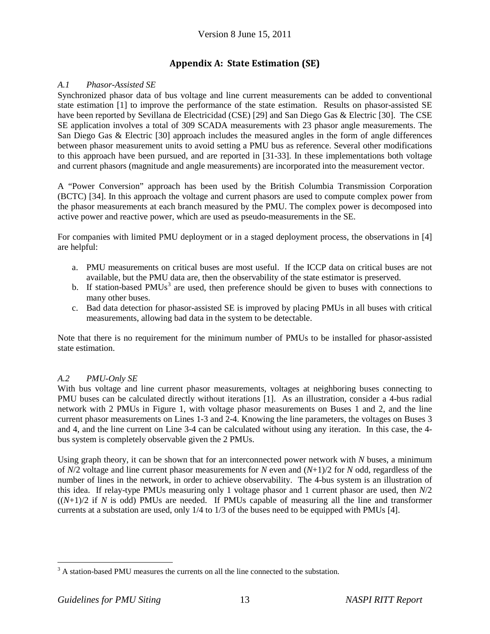# **Appendix A: State Estimation (SE)**

# *A.1 Phasor-Assisted SE*

Synchronized phasor data of bus voltage and line current measurements can be added to conventional state estimation [1] to improve the performance of the state estimation. Results on phasor-assisted SE have been reported by Sevillana de Electricidad (CSE) [29] and San Diego Gas & Electric [30]. The CSE SE application involves a total of 309 SCADA measurements with 23 phasor angle measurements. The San Diego Gas & Electric [30] approach includes the measured angles in the form of angle differences between phasor measurement units to avoid setting a PMU bus as reference. Several other modifications to this approach have been pursued, and are reported in [31-33]. In these implementations both voltage and current phasors (magnitude and angle measurements) are incorporated into the measurement vector.

A "Power Conversion" approach has been used by the British Columbia Transmission Corporation (BCTC) [34]. In this approach the voltage and current phasors are used to compute complex power from the phasor measurements at each branch measured by the PMU. The complex power is decomposed into active power and reactive power, which are used as pseudo-measurements in the SE.

For companies with limited PMU deployment or in a staged deployment process, the observations in [4] are helpful:

- a. PMU measurements on critical buses are most useful. If the ICCP data on critical buses are not available, but the PMU data are, then the observability of the state estimator is preserved.
- b. If station-based PMUs<sup>[3](#page-12-0)</sup> are used, then preference should be given to buses with connections to many other buses.
- c. Bad data detection for phasor-assisted SE is improved by placing PMUs in all buses with critical measurements, allowing bad data in the system to be detectable.

Note that there is no requirement for the minimum number of PMUs to be installed for phasor-assisted state estimation.

## *A.2 PMU-Only SE*

With bus voltage and line current phasor measurements, voltages at neighboring buses connecting to PMU buses can be calculated directly without iterations [1]. As an illustration, consider a 4-bus radial network with 2 PMUs in Figure 1, with voltage phasor measurements on Buses 1 and 2, and the line current phasor measurements on Lines 1-3 and 2-4. Knowing the line parameters, the voltages on Buses 3 and 4, and the line current on Line 3-4 can be calculated without using any iteration. In this case, the 4 bus system is completely observable given the 2 PMUs.

Using graph theory, it can be shown that for an interconnected power network with *N* buses, a minimum of *N*/2 voltage and line current phasor measurements for *N* even and (*N*+1)/2 for *N* odd, regardless of the number of lines in the network, in order to achieve observability. The 4-bus system is an illustration of this idea. If relay-type PMUs measuring only 1 voltage phasor and 1 current phasor are used, then *N*/2  $((N+1)/2)$  if *N* is odd) PMUs are needed. If PMUs capable of measuring all the line and transformer currents at a substation are used, only 1/4 to 1/3 of the buses need to be equipped with PMUs [4].

<span id="page-12-0"></span><sup>&</sup>lt;sup>3</sup> A station-based PMU measures the currents on all the line connected to the substation.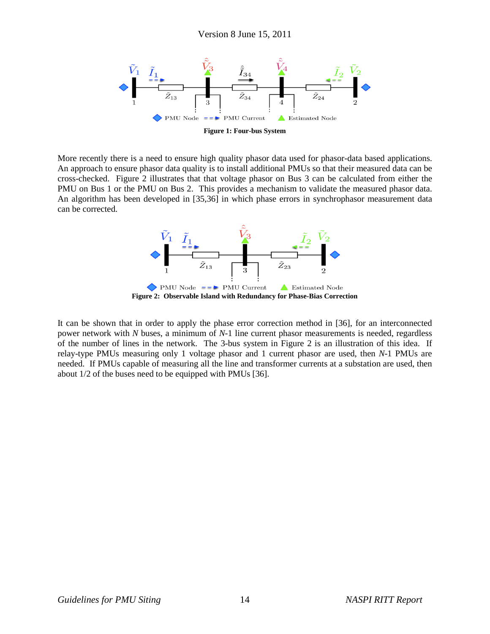

More recently there is a need to ensure high quality phasor data used for phasor-data based applications. An approach to ensure phasor data quality is to install additional PMUs so that their measured data can be cross-checked. Figure 2 illustrates that that voltage phasor on Bus 3 can be calculated from either the PMU on Bus 1 or the PMU on Bus 2. This provides a mechanism to validate the measured phasor data. An algorithm has been developed in [35,36] in which phase errors in synchrophasor measurement data can be corrected.



It can be shown that in order to apply the phase error correction method in [36], for an interconnected power network with *N* buses, a minimum of *N*-1 line current phasor measurements is needed, regardless of the number of lines in the network. The 3-bus system in Figure 2 is an illustration of this idea. If relay-type PMUs measuring only 1 voltage phasor and 1 current phasor are used, then *N*-1 PMUs are needed. If PMUs capable of measuring all the line and transformer currents at a substation are used, then

about 1/2 of the buses need to be equipped with PMUs [36].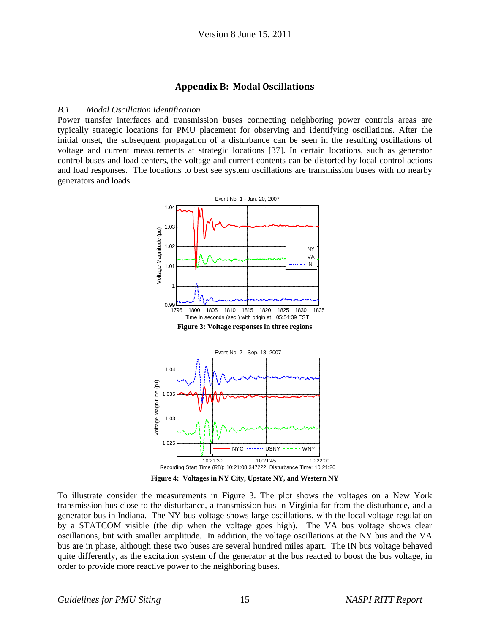# **Appendix B: Modal Oscillations**

#### *B.1 Modal Oscillation Identification*

Power transfer interfaces and transmission buses connecting neighboring power controls areas are typically strategic locations for PMU placement for observing and identifying oscillations. After the initial onset, the subsequent propagation of a disturbance can be seen in the resulting oscillations of voltage and current measurements at strategic locations [37]. In certain locations, such as generator control buses and load centers, the voltage and current contents can be distorted by local control actions and load responses. The locations to best see system oscillations are transmission buses with no nearby generators and loads.



To illustrate consider the measurements in Figure 3. The plot shows the voltages on a New York transmission bus close to the disturbance, a transmission bus in Virginia far from the disturbance, and a generator bus in Indiana. The NY bus voltage shows large oscillations, with the local voltage regulation by a STATCOM visible (the dip when the voltage goes high). The VA bus voltage shows clear oscillations, but with smaller amplitude. In addition, the voltage oscillations at the NY bus and the VA bus are in phase, although these two buses are several hundred miles apart. The IN bus voltage behaved quite differently, as the excitation system of the generator at the bus reacted to boost the bus voltage, in order to provide more reactive power to the neighboring buses.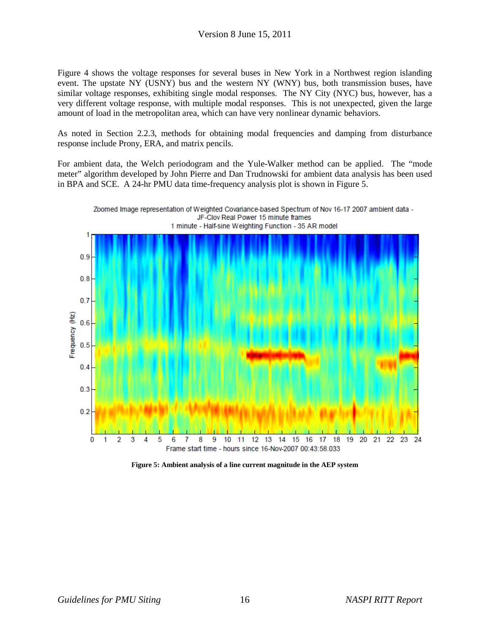Figure 4 shows the voltage responses for several buses in New York in a Northwest region islanding event. The upstate NY (USNY) bus and the western NY (WNY) bus, both transmission buses, have similar voltage responses, exhibiting single modal responses. The NY City (NYC) bus, however, has a very different voltage response, with multiple modal responses. This is not unexpected, given the large amount of load in the metropolitan area, which can have very nonlinear dynamic behaviors.

As noted in Section 2.2.3, methods for obtaining modal frequencies and damping from disturbance response include Prony, ERA, and matrix pencils.

For ambient data, the Welch periodogram and the Yule-Walker method can be applied. The "mode meter" algorithm developed by John Pierre and Dan Trudnowski for ambient data analysis has been used in BPA and SCE. A 24-hr PMU data time-frequency analysis plot is shown in Figure 5.



**Figure 5: Ambient analysis of a line current magnitude in the AEP system**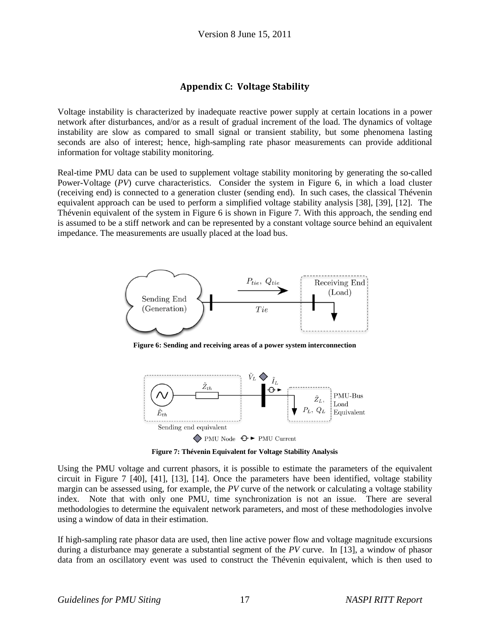# **Appendix C: Voltage Stability**

Voltage instability is characterized by inadequate reactive power supply at certain locations in a power network after disturbances, and/or as a result of gradual increment of the load. The dynamics of voltage instability are slow as compared to small signal or transient stability, but some phenomena lasting seconds are also of interest; hence, high-sampling rate phasor measurements can provide additional information for voltage stability monitoring.

Real-time PMU data can be used to supplement voltage stability monitoring by generating the so-called Power-Voltage (*PV*) curve characteristics. Consider the system in Figure 6, in which a load cluster (receiving end) is connected to a generation cluster (sending end). In such cases, the classical Thévenin equivalent approach can be used to perform a simplified voltage stability analysis [38], [39], [12]. The Thévenin equivalent of the system in Figure 6 is shown in Figure 7. With this approach, the sending end is assumed to be a stiff network and can be represented by a constant voltage source behind an equivalent impedance. The measurements are usually placed at the load bus.



**Figure 6: Sending and receiving areas of a power system interconnection**



**Figure 7: Thévenin Equivalent for Voltage Stability Analysis**

Using the PMU voltage and current phasors, it is possible to estimate the parameters of the equivalent circuit in Figure 7 [40], [41], [13], [14]. Once the parameters have been identified, voltage stability margin can be assessed using, for example, the *PV* curve of the network or calculating a voltage stability index. Note that with only one PMU, time synchronization is not an issue. There are several methodologies to determine the equivalent network parameters, and most of these methodologies involve using a window of data in their estimation.

If high-sampling rate phasor data are used, then line active power flow and voltage magnitude excursions during a disturbance may generate a substantial segment of the *PV* curve. In [13], a window of phasor data from an oscillatory event was used to construct the Thévenin equivalent, which is then used to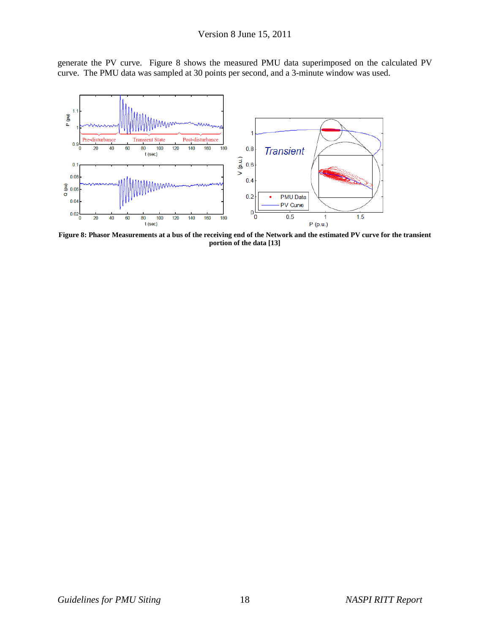generate the PV curve. Figure 8 shows the measured PMU data superimposed on the calculated PV curve. The PMU data was sampled at 30 points per second, and a 3-minute window was used.



**Figure 8: Phasor Measurements at a bus of the receiving end of the Network and the estimated PV curve for the transient portion of the data [13]**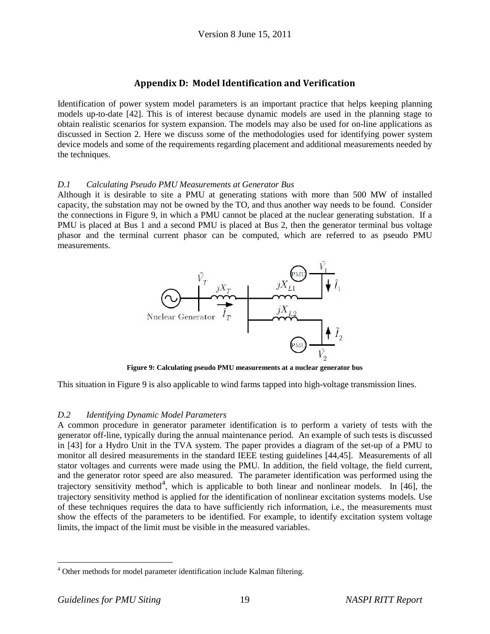# **Appendix D: Model Identification and Verification**

Identification of power system model parameters is an important practice that helps keeping planning models up-to-date [42]. This is of interest because dynamic models are used in the planning stage to obtain realistic scenarios for system expansion. The models may also be used for on-line applications as discussed in Section 2. Here we discuss some of the methodologies used for identifying power system device models and some of the requirements regarding placement and additional measurements needed by the techniques.

#### *D.1 Calculating Pseudo PMU Measurements at Generator Bus*

Although it is desirable to site a PMU at generating stations with more than 500 MW of installed capacity, the substation may not be owned by the TO, and thus another way needs to be found. Consider the connections in Figure 9, in which a PMU cannot be placed at the nuclear generating substation. If a PMU is placed at Bus 1 and a second PMU is placed at Bus 2, then the generator terminal bus voltage phasor and the terminal current phasor can be computed, which are referred to as pseudo PMU measurements.



**Figure 9: Calculating pseudo PMU measurements at a nuclear generator bus**

This situation in Figure 9 is also applicable to wind farms tapped into high-voltage transmission lines.

#### *D.2 Identifying Dynamic Model Parameters*

A common procedure in generator parameter identification is to perform a variety of tests with the generator off-line, typically during the annual maintenance period. An example of such tests is discussed in [43] for a Hydro Unit in the TVA system. The paper provides a diagram of the set-up of a PMU to monitor all desired measurements in the standard IEEE testing guidelines [44,45]. Measurements of all stator voltages and currents were made using the PMU. In addition, the field voltage, the field current, and the generator rotor speed are also measured. The parameter identification was performed using the trajectory sensitivity method<sup>[4](#page-18-0)</sup>, which is applicable to both linear and nonlinear models. In [46], the trajectory sensitivity method is applied for the identification of nonlinear excitation systems models. Use of these techniques requires the data to have sufficiently rich information, i.e., the measurements must show the effects of the parameters to be identified. For example, to identify excitation system voltage limits, the impact of the limit must be visible in the measured variables.

<span id="page-18-0"></span> $4$  Other methods for model parameter identification include Kalman filtering.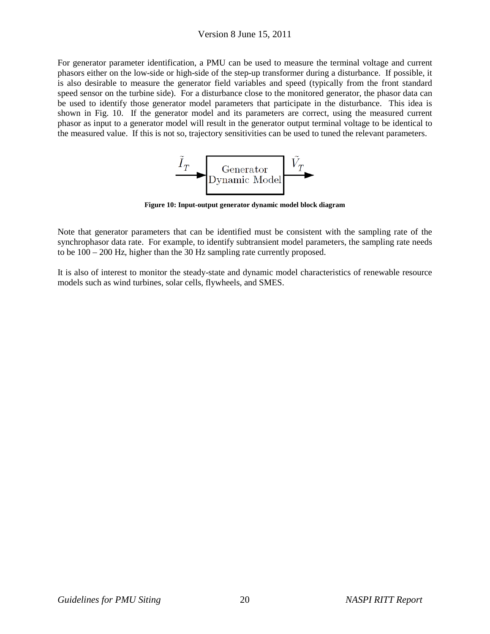# Version 8 June 15, 2011

For generator parameter identification, a PMU can be used to measure the terminal voltage and current phasors either on the low-side or high-side of the step-up transformer during a disturbance. If possible, it is also desirable to measure the generator field variables and speed (typically from the front standard speed sensor on the turbine side). For a disturbance close to the monitored generator, the phasor data can be used to identify those generator model parameters that participate in the disturbance. This idea is shown in Fig. 10. If the generator model and its parameters are correct, using the measured current phasor as input to a generator model will result in the generator output terminal voltage to be identical to the measured value. If this is not so, trajectory sensitivities can be used to tuned the relevant parameters.



**Figure 10: Input-output generator dynamic model block diagram**

Note that generator parameters that can be identified must be consistent with the sampling rate of the synchrophasor data rate. For example, to identify subtransient model parameters, the sampling rate needs to be 100 – 200 Hz, higher than the 30 Hz sampling rate currently proposed.

It is also of interest to monitor the steady-state and dynamic model characteristics of renewable resource models such as wind turbines, solar cells, flywheels, and SMES.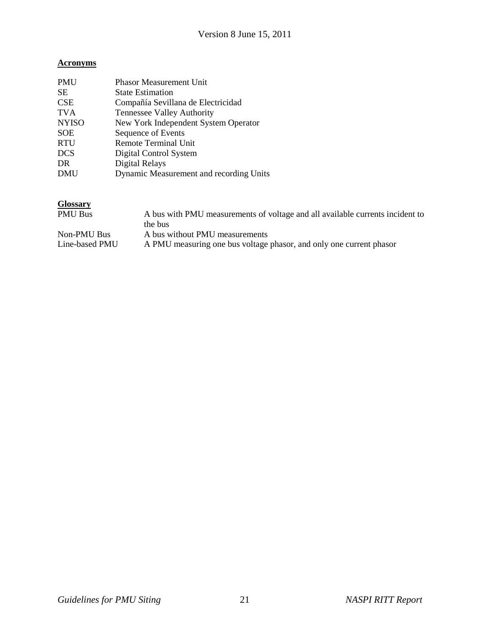# **Acronyms**

| <b>PMU</b>   | <b>Phasor Measurement Unit</b>          |
|--------------|-----------------------------------------|
| <b>SE</b>    | <b>State Estimation</b>                 |
| <b>CSE</b>   | Compañía Sevillana de Electricidad      |
| <b>TVA</b>   | <b>Tennessee Valley Authority</b>       |
| <b>NYISO</b> | New York Independent System Operator    |
| <b>SOE</b>   | Sequence of Events                      |
| <b>RTU</b>   | <b>Remote Terminal Unit</b>             |
| <b>DCS</b>   | Digital Control System                  |
| DR           | Digital Relays                          |
| DMU          | Dynamic Measurement and recording Units |

# **Glossary**

| <b>PMU Bus</b> | A bus with PMU measurements of voltage and all available currents incident to |
|----------------|-------------------------------------------------------------------------------|
|                | the bus                                                                       |
| Non-PMU Bus    | A bus without PMU measurements                                                |
| Line-based PMU | A PMU measuring one bus voltage phasor, and only one current phasor           |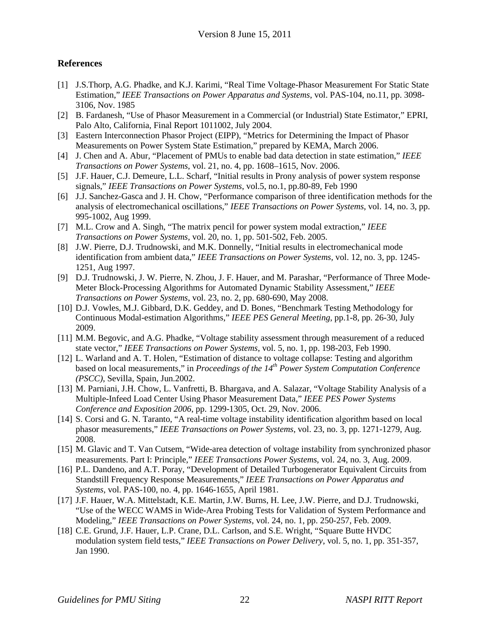# **References**

- [1] J.S.Thorp, A.G. Phadke, and K.J. Karimi, "Real Time Voltage-Phasor Measurement For Static State Estimation," *IEEE Transactions on Power Apparatus and Systems*, vol. PAS-104, no.11, pp. 3098- 3106, Nov. 1985
- [2] B. Fardanesh, "Use of Phasor Measurement in a Commercial (or Industrial) State Estimator," EPRI, Palo Alto, California, Final Report 1011002, July 2004.
- [3] Eastern Interconnection Phasor Project (EIPP), "Metrics for Determining the Impact of Phasor Measurements on Power System State Estimation," prepared by KEMA, March 2006.
- [4] J. Chen and A. Abur, "Placement of PMUs to enable bad data detection in state estimation," *IEEE Transactions on Power Systems*, vol. 21, no. 4, pp. 1608–1615, Nov. 2006.
- [5] J.F. Hauer, C.J. Demeure, L.L. Scharf, "Initial results in Prony analysis of power system response signals," *IEEE Transactions on Power Systems*, vol.5, no.1, pp.80-89, Feb 1990
- [6] J.J. Sanchez-Gasca and J. H. Chow, "Performance comparison of three identification methods for the analysis of electromechanical oscillations," *IEEE Transactions on Power Systems*, vol. 14, no. 3, pp. 995-1002, Aug 1999.
- [7] M.L. Crow and A. Singh, "The matrix pencil for power system modal extraction," *IEEE Transactions on Power Systems,* vol. 20, no. 1, pp. 501-502, Feb. 2005.
- [8] J.W. Pierre, D.J. Trudnowski, and M.K. Donnelly, "Initial results in electromechanical mode identification from ambient data," *IEEE Transactions on Power Systems,* vol. 12, no. 3, pp. 1245- 1251, Aug 1997.
- [9] D.J. Trudnowski, J. W. Pierre, N. Zhou, J. F. Hauer, and M. Parashar, "Performance of Three Mode-Meter Block-Processing Algorithms for Automated Dynamic Stability Assessment," *IEEE Transactions on Power Systems*, vol. 23, no. 2, pp. 680-690, May 2008.
- [10] D.J. Vowles, M.J. Gibbard, D.K. Geddey, and D. Bones, "Benchmark Testing Methodology for Continuous Modal-estimation Algorithms," *IEEE PES General Meeting*, pp.1-8, pp. 26-30, July 2009.
- [11] M.M. Begovic, and A.G. Phadke, "Voltage stability assessment through measurement of a reduced state vector," *IEEE Transactions on Power Systems*, vol. 5, no. 1, pp. 198-203, Feb 1990.
- [12] L. Warland and A. T. Holen, "Estimation of distance to voltage collapse: Testing and algorithm based on local measurements," in *Proceedings of the 14th Power System Computation Conference (PSCC)*, Sevilla, Spain, Jun.2002.
- [13] M. Parniani, J.H. Chow, L. Vanfretti, B. Bhargava, and A. Salazar, "Voltage Stability Analysis of a Multiple-Infeed Load Center Using Phasor Measurement Data," *IEEE PES Power Systems Conference and Exposition 2006*, pp. 1299-1305, Oct. 29, Nov. 2006.
- [14] S. Corsi and G. N. Taranto, "A real-time voltage instability identification algorithm based on local phasor measurements," *IEEE Transactions on Power Systems*, vol. 23, no. 3, pp. 1271-1279, Aug. 2008.
- [15] M. Glavic and T. Van Cutsem, "Wide-area detection of voltage instability from synchronized phasor measurements. Part I: Principle," *IEEE Transactions Power Systems*, vol. 24, no. 3, Aug. 2009.
- [16] P.L. Dandeno, and A.T. Poray, "Development of Detailed Turbogenerator Equivalent Circuits from Standstill Frequency Response Measurements," *IEEE Transactions on Power Apparatus and Systems*, vol. PAS-100, no. 4, pp. 1646-1655, April 1981.
- [17] J.F. Hauer, W.A. Mittelstadt, K.E. Martin, J.W. Burns, H. Lee, J.W. Pierre, and D.J. Trudnowski, "Use of the WECC WAMS in Wide-Area Probing Tests for Validation of System Performance and Modeling," *IEEE Transactions on Power Systems*, vol. 24, no. 1, pp. 250-257, Feb. 2009.
- [18] C.E. Grund, J.F. Hauer, L.P. Crane, D.L. Carlson, and S.E. Wright, "Square Butte HVDC modulation system field tests," *IEEE Transactions on Power Delivery*, vol. 5, no. 1, pp. 351-357, Jan 1990.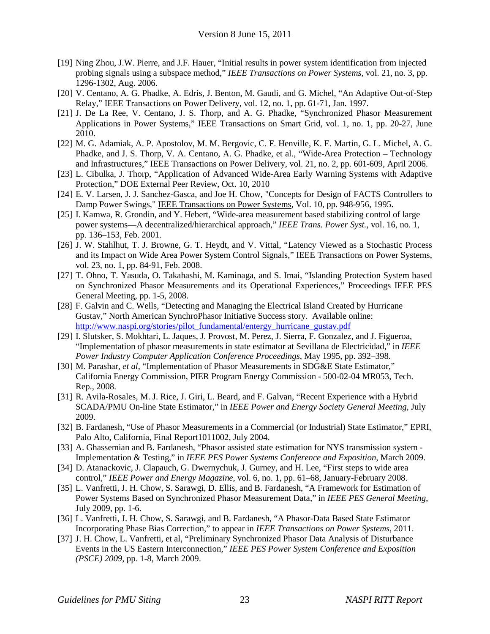- [19] Ning Zhou, J.W. Pierre, and J.F. Hauer, "Initial results in power system identification from injected probing signals using a subspace method," *IEEE Transactions on Power Systems,* vol. 21, no. 3, pp. 1296-1302, Aug. 2006.
- [20] V. Centano, A. G. Phadke, A. Edris, J. Benton, M. Gaudi, and G. Michel, "An Adaptive Out-of-Step Relay," IEEE Transactions on Power Delivery, vol. 12, no. 1, pp. 61-71, Jan. 1997.
- [21] J. De La Ree, V. Centano, J. S. Thorp, and A. G. Phadke, "Synchronized Phasor Measurement Applications in Power Systems," IEEE Transactions on Smart Grid, vol. 1, no. 1, pp. 20-27, June 2010.
- [22] M. G. Adamiak, A. P. Apostolov, M. M. Bergovic, C. F. Henville, K. E. Martin, G. L. Michel, A. G. Phadke, and J. S. Thorp, V. A. Centano, A. G. Phadke, et al., "Wide-Area Protection – Technology and Infrastructures," IEEE Transactions on Power Delivery, vol. 21, no. 2, pp. 601-609, April 2006.
- [23] L. Cibulka, J. Thorp, "Application of Advanced Wide-Area Early Warning Systems with Adaptive Protection," DOE External Peer Review, Oct. 10, 2010
- [24] E. V. Larsen, J. J. Sanchez-Gasca, and Joe H. Chow, "Concepts for Design of FACTS Controllers to Damp Power Swings," IEEE Transactions on Power Systems, Vol. 10, pp. 948-956, 1995.
- [25] I. Kamwa, R. Grondin, and Y. Hebert, "Wide-area measurement based stabilizing control of large power systems—A decentralized/hierarchical approach," *IEEE Trans. Power Syst.*, vol. 16, no. 1, pp. 136–153, Feb. 2001.
- [26] J. W. Stahlhut, T. J. Browne, G. T. Heydt, and V. Vittal, "Latency Viewed as a Stochastic Process and its Impact on Wide Area Power System Control Signals," IEEE Transactions on Power Systems, vol. 23, no. 1, pp. 84-91, Feb. 2008.
- [27] T. Ohno, T. Yasuda, O. Takahashi, M. Kaminaga, and S. Imai, "Islanding Protection System based on Synchronized Phasor Measurements and its Operational Experiences," Proceedings IEEE PES General Meeting, pp. 1-5, 2008.
- [28] F. Galvin and C. Wells, "Detecting and Managing the Electrical Island Created by Hurricane Gustav," North American SynchroPhasor Initiative Success story. Available online: [http://www.naspi.org/stories/pilot\\_fundamental/entergy\\_hurricane\\_gustav.pdf](http://www.naspi.org/stories/pilot_fundamental/entergy_hurricane_gustav.pdf)
- [29] I. Slutsker, S. Mokhtari, L. Jaques, J. Provost, M. Perez, J. Sierra, F. Gonzalez, and J. Figueroa, "Implementation of phasor measurements in state estimator at Sevillana de Electricidad," in *IEEE Power Industry Computer Application Conference Proceedings*, May 1995, pp. 392–398.
- [30] M. Parashar, *et al*, "Implementation of Phasor Measurements in SDG&E State Estimator," California Energy Commission, PIER Program Energy Commission - 500-02-04 MR053, Tech. Rep., 2008.
- [31] R. Avila-Rosales, M. J. Rice, J. Giri, L. Beard, and F. Galvan, "Recent Experience with a Hybrid SCADA/PMU On-line State Estimator," in *IEEE Power and Energy Society General Meeting*, July 2009.
- [32] B. Fardanesh, "Use of Phasor Measurements in a Commercial (or Industrial) State Estimator," EPRI, Palo Alto, California, Final Report1011002, July 2004.
- [33] A. Ghassemian and B. Fardanesh, "Phasor assisted state estimation for NYS transmission system Implementation & Testing," in *IEEE PES Power Systems Conference and Exposition*, March 2009.
- [34] D. Atanackovic, J. Clapauch, G. Dwernychuk, J. Gurney, and H. Lee, "First steps to wide area control," *IEEE Power and Energy Magazine*, vol. 6, no. 1, pp. 61–68, January-February 2008.
- [35] L. Vanfretti, J. H. Chow, S. Sarawgi, D. Ellis, and B. Fardanesh, "A Framework for Estimation of Power Systems Based on Synchronized Phasor Measurement Data," in *IEEE PES General Meeting*, July 2009, pp. 1-6.
- [36] L. Vanfretti, J. H. Chow, S. Sarawgi, and B. Fardanesh, "A Phasor-Data Based State Estimator Incorporating Phase Bias Correction," to appear in *IEEE Transactions on Power Systems*, 2011.
- [37] J. H. Chow, L. Vanfretti, et al, "Preliminary Synchronized Phasor Data Analysis of Disturbance Events in the US Eastern Interconnection," *IEEE PES Power System Conference and Exposition (PSCE) 2009*, pp. 1-8, March 2009.